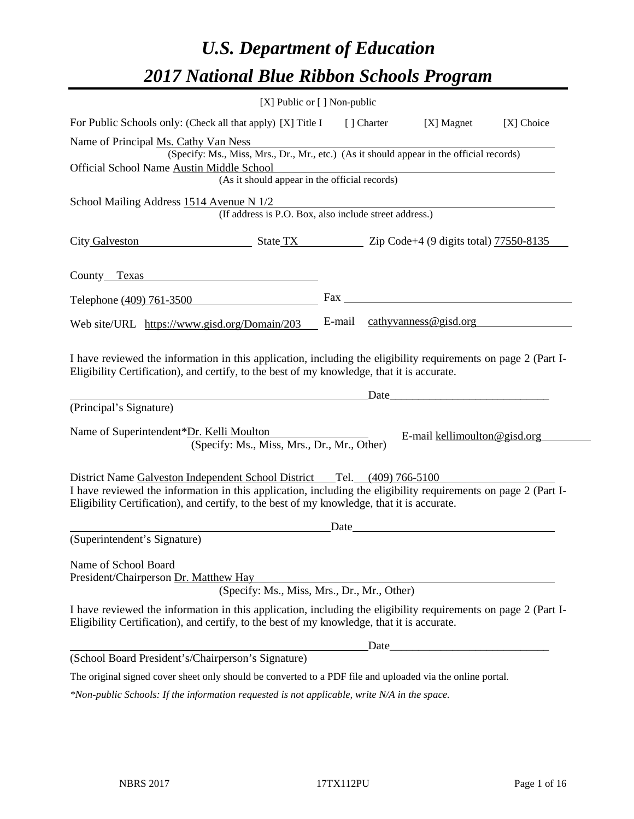# *U.S. Department of Education 2017 National Blue Ribbon Schools Program*

| [X] Public or [] Non-public                                                                                                                                                                                                             |       |                                                                                                                                                                                                                                |            |
|-----------------------------------------------------------------------------------------------------------------------------------------------------------------------------------------------------------------------------------------|-------|--------------------------------------------------------------------------------------------------------------------------------------------------------------------------------------------------------------------------------|------------|
| For Public Schools only: (Check all that apply) [X] Title I [] Charter                                                                                                                                                                  |       | [X] Magnet                                                                                                                                                                                                                     | [X] Choice |
| Name of Principal Ms. Cathy Van Ness                                                                                                                                                                                                    |       |                                                                                                                                                                                                                                |            |
| (Specify: Ms., Miss, Mrs., Dr., Mr., etc.) (As it should appear in the official records)                                                                                                                                                |       |                                                                                                                                                                                                                                |            |
| Official School Name Austin Middle School<br>(As it should appear in the official records)                                                                                                                                              |       |                                                                                                                                                                                                                                |            |
|                                                                                                                                                                                                                                         |       |                                                                                                                                                                                                                                |            |
| School Mailing Address 1514 Avenue N 1/2<br>(If address is P.O. Box, also include street address.)                                                                                                                                      |       |                                                                                                                                                                                                                                |            |
| City Galveston State TX Zip Code+4 (9 digits total) 77550-8135                                                                                                                                                                          |       |                                                                                                                                                                                                                                |            |
| County Texas County County County County County County County County County County County County County County County County County County County County County County County County County County County County County County          |       |                                                                                                                                                                                                                                |            |
| Telephone (409) 761-3500                                                                                                                                                                                                                |       |                                                                                                                                                                                                                                |            |
| Web site/URL https://www.gisd.org/Domain/203                                                                                                                                                                                            |       | E-mail $\c{cathyvanness@gisd.org}$                                                                                                                                                                                             |            |
| I have reviewed the information in this application, including the eligibility requirements on page 2 (Part I-<br>Eligibility Certification), and certify, to the best of my knowledge, that it is accurate.<br>(Principal's Signature) |       | Date and the same state of the state of the state of the state of the state of the state of the state of the state of the state of the state of the state of the state of the state of the state of the state of the state of  |            |
|                                                                                                                                                                                                                                         |       |                                                                                                                                                                                                                                |            |
| Name of Superintendent*Dr. Kelli Moulton<br>(Specify: Ms., Miss, Mrs., Dr., Mr., Other)                                                                                                                                                 |       | E-mail kellimoulton@gisd.org                                                                                                                                                                                                   |            |
|                                                                                                                                                                                                                                         |       |                                                                                                                                                                                                                                |            |
| District Name Galveston Independent School District Tel. (409) 766-5100                                                                                                                                                                 |       |                                                                                                                                                                                                                                |            |
| I have reviewed the information in this application, including the eligibility requirements on page 2 (Part I-<br>Eligibility Certification), and certify, to the best of my knowledge, that it is accurate.                            |       |                                                                                                                                                                                                                                |            |
|                                                                                                                                                                                                                                         |       | Date and the contract of the contract of the contract of the contract of the contract of the contract of the contract of the contract of the contract of the contract of the contract of the contract of the contract of the c |            |
| (Superintendent's Signature)                                                                                                                                                                                                            |       |                                                                                                                                                                                                                                |            |
| Name of School Board<br>President/Chairperson Dr. Matthew Hay                                                                                                                                                                           |       |                                                                                                                                                                                                                                |            |
| (Specify: Ms., Miss, Mrs., Dr., Mr., Other)                                                                                                                                                                                             |       |                                                                                                                                                                                                                                |            |
| I have reviewed the information in this application, including the eligibility requirements on page 2 (Part I-<br>Eligibility Certification), and certify, to the best of my knowledge, that it is accurate.                            |       |                                                                                                                                                                                                                                |            |
|                                                                                                                                                                                                                                         | Date_ |                                                                                                                                                                                                                                |            |
| (School Board President's/Chairperson's Signature)                                                                                                                                                                                      |       |                                                                                                                                                                                                                                |            |
| The original signed cover sheet only should be converted to a PDF file and uploaded via the online portal.                                                                                                                              |       |                                                                                                                                                                                                                                |            |
| *Non-public Schools: If the information requested is not applicable, write N/A in the space.                                                                                                                                            |       |                                                                                                                                                                                                                                |            |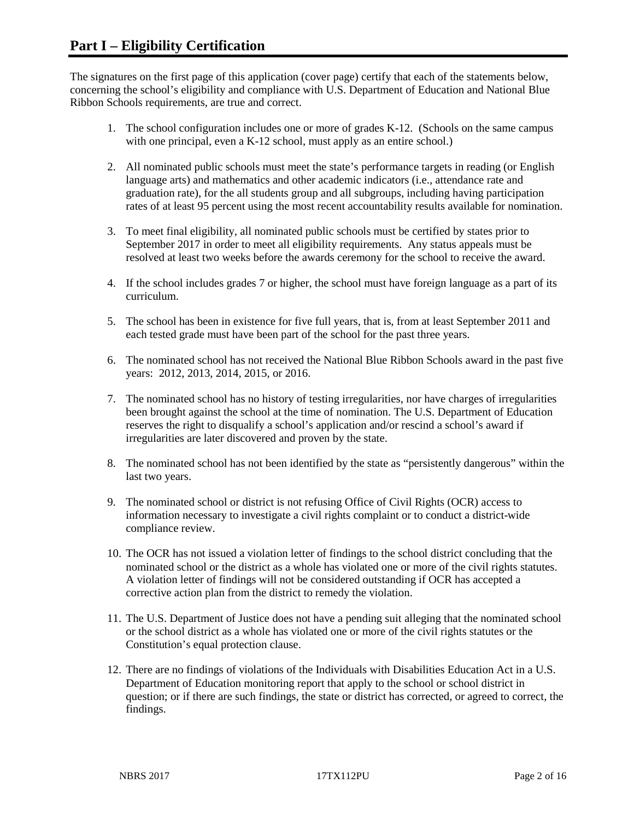The signatures on the first page of this application (cover page) certify that each of the statements below, concerning the school's eligibility and compliance with U.S. Department of Education and National Blue Ribbon Schools requirements, are true and correct.

- 1. The school configuration includes one or more of grades K-12. (Schools on the same campus with one principal, even a K-12 school, must apply as an entire school.)
- 2. All nominated public schools must meet the state's performance targets in reading (or English language arts) and mathematics and other academic indicators (i.e., attendance rate and graduation rate), for the all students group and all subgroups, including having participation rates of at least 95 percent using the most recent accountability results available for nomination.
- 3. To meet final eligibility, all nominated public schools must be certified by states prior to September 2017 in order to meet all eligibility requirements. Any status appeals must be resolved at least two weeks before the awards ceremony for the school to receive the award.
- 4. If the school includes grades 7 or higher, the school must have foreign language as a part of its curriculum.
- 5. The school has been in existence for five full years, that is, from at least September 2011 and each tested grade must have been part of the school for the past three years.
- 6. The nominated school has not received the National Blue Ribbon Schools award in the past five years: 2012, 2013, 2014, 2015, or 2016.
- 7. The nominated school has no history of testing irregularities, nor have charges of irregularities been brought against the school at the time of nomination. The U.S. Department of Education reserves the right to disqualify a school's application and/or rescind a school's award if irregularities are later discovered and proven by the state.
- 8. The nominated school has not been identified by the state as "persistently dangerous" within the last two years.
- 9. The nominated school or district is not refusing Office of Civil Rights (OCR) access to information necessary to investigate a civil rights complaint or to conduct a district-wide compliance review.
- 10. The OCR has not issued a violation letter of findings to the school district concluding that the nominated school or the district as a whole has violated one or more of the civil rights statutes. A violation letter of findings will not be considered outstanding if OCR has accepted a corrective action plan from the district to remedy the violation.
- 11. The U.S. Department of Justice does not have a pending suit alleging that the nominated school or the school district as a whole has violated one or more of the civil rights statutes or the Constitution's equal protection clause.
- 12. There are no findings of violations of the Individuals with Disabilities Education Act in a U.S. Department of Education monitoring report that apply to the school or school district in question; or if there are such findings, the state or district has corrected, or agreed to correct, the findings.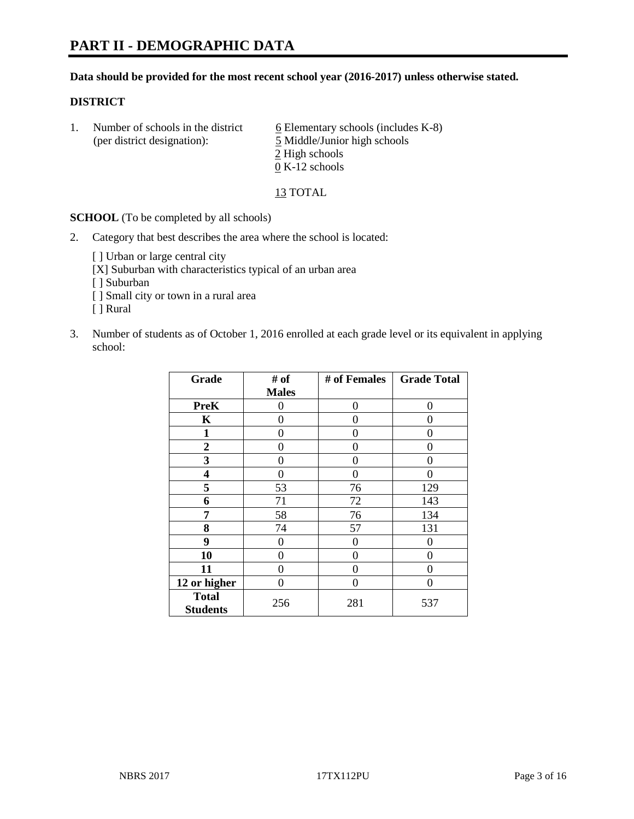#### **Data should be provided for the most recent school year (2016-2017) unless otherwise stated.**

#### **DISTRICT**

1. Number of schools in the district  $6$  Elementary schools (includes K-8) (per district designation): 5 Middle/Junior high schools 2 High schools 0 K-12 schools

13 TOTAL

**SCHOOL** (To be completed by all schools)

2. Category that best describes the area where the school is located:

[] Urban or large central city

[X] Suburban with characteristics typical of an urban area

[ ] Suburban

- [ ] Small city or town in a rural area
- [ ] Rural
- 3. Number of students as of October 1, 2016 enrolled at each grade level or its equivalent in applying school:

| Grade                           | # of         | # of Females | <b>Grade Total</b> |
|---------------------------------|--------------|--------------|--------------------|
|                                 | <b>Males</b> |              |                    |
| <b>PreK</b>                     | 0            | $\theta$     | 0                  |
| $\mathbf K$                     | 0            | 0            | 0                  |
| 1                               | 0            | 0            | 0                  |
| $\boldsymbol{2}$                | 0            | 0            | 0                  |
| 3                               | 0            | 0            | 0                  |
| 4                               | 0            | 0            | $\Omega$           |
| 5                               | 53           | 76           | 129                |
| 6                               | 71           | 72           | 143                |
| 7                               | 58           | 76           | 134                |
| 8                               | 74           | 57           | 131                |
| 9                               | 0            | 0            | 0                  |
| 10                              | $\theta$     | 0            | 0                  |
| 11                              | 0            | 0            | $\mathbf{\Omega}$  |
| 12 or higher                    | 0            | 0            | 0                  |
| <b>Total</b><br><b>Students</b> | 256          | 281          | 537                |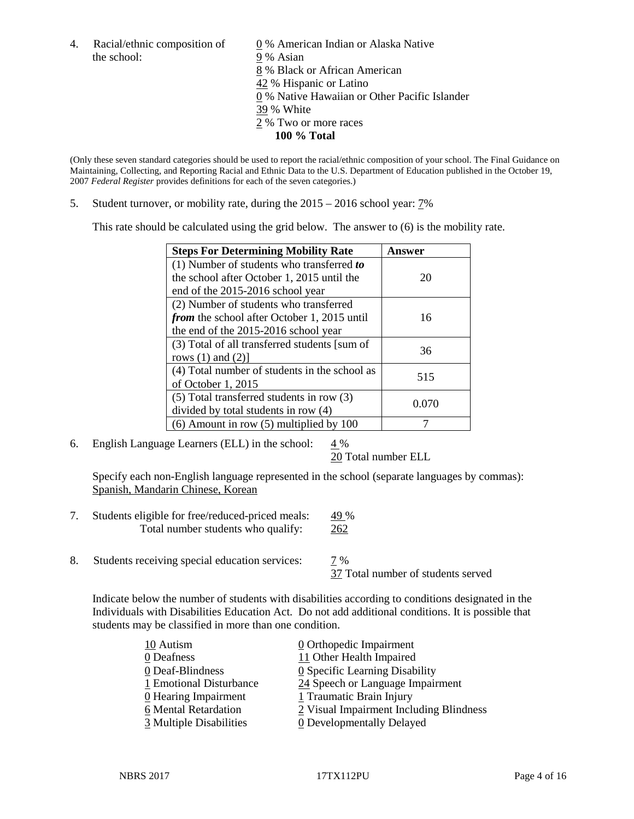the school: 9% Asian

4. Racial/ethnic composition of  $\qquad \qquad \underline{0}$  % American Indian or Alaska Native 8 % Black or African American 42 % Hispanic or Latino 0 % Native Hawaiian or Other Pacific Islander 39 % White 2 % Two or more races **100 % Total**

(Only these seven standard categories should be used to report the racial/ethnic composition of your school. The Final Guidance on Maintaining, Collecting, and Reporting Racial and Ethnic Data to the U.S. Department of Education published in the October 19, 2007 *Federal Register* provides definitions for each of the seven categories.)

5. Student turnover, or mobility rate, during the 2015 – 2016 school year: 7%

This rate should be calculated using the grid below. The answer to (6) is the mobility rate.

| <b>Steps For Determining Mobility Rate</b>         | Answer |  |
|----------------------------------------------------|--------|--|
| (1) Number of students who transferred to          |        |  |
| the school after October 1, 2015 until the         | 20     |  |
| end of the 2015-2016 school year                   |        |  |
| (2) Number of students who transferred             |        |  |
| <i>from</i> the school after October 1, 2015 until | 16     |  |
| the end of the 2015-2016 school year               |        |  |
| (3) Total of all transferred students [sum of      | 36     |  |
| rows $(1)$ and $(2)$ ]                             |        |  |
| (4) Total number of students in the school as      | 515    |  |
| of October 1, 2015                                 |        |  |
| $(5)$ Total transferred students in row $(3)$      | 0.070  |  |
| divided by total students in row (4)               |        |  |
| $(6)$ Amount in row $(5)$ multiplied by 100        |        |  |

6. English Language Learners (ELL) in the school:  $4\%$ 

20 Total number ELL

Specify each non-English language represented in the school (separate languages by commas): Spanish, Mandarin Chinese, Korean

- 7. Students eligible for free/reduced-priced meals: 49 % Total number students who qualify: 262
- 8. Students receiving special education services: 7 %

37 Total number of students served

Indicate below the number of students with disabilities according to conditions designated in the Individuals with Disabilities Education Act. Do not add additional conditions. It is possible that students may be classified in more than one condition.

| 10 Autism               | $\underline{0}$ Orthopedic Impairment   |
|-------------------------|-----------------------------------------|
| 0 Deafness              | 11 Other Health Impaired                |
| 0 Deaf-Blindness        | 0 Specific Learning Disability          |
| 1 Emotional Disturbance | 24 Speech or Language Impairment        |
| 0 Hearing Impairment    | 1 Traumatic Brain Injury                |
| 6 Mental Retardation    | 2 Visual Impairment Including Blindness |
| 3 Multiple Disabilities | <b>0</b> Developmentally Delayed        |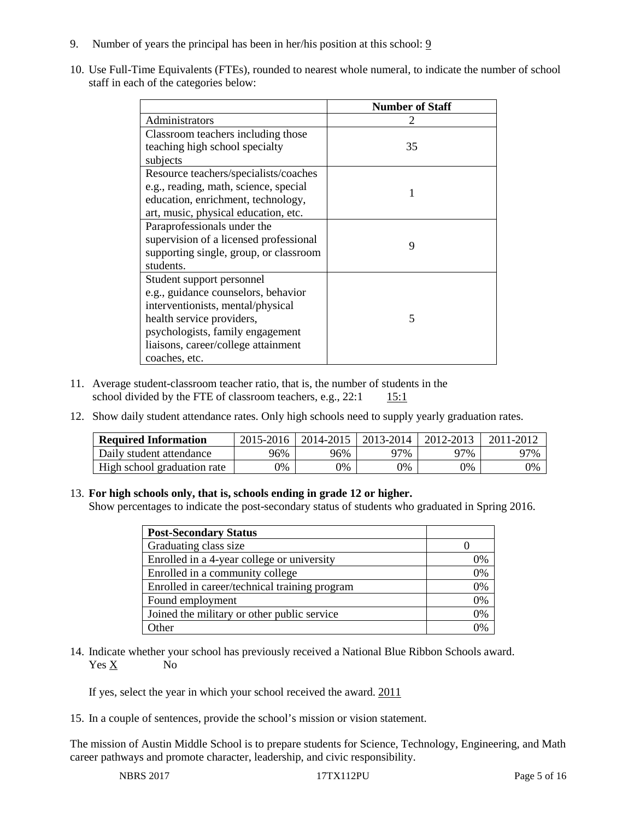- 9. Number of years the principal has been in her/his position at this school: 9
- 10. Use Full-Time Equivalents (FTEs), rounded to nearest whole numeral, to indicate the number of school staff in each of the categories below:

|                                        | <b>Number of Staff</b> |
|----------------------------------------|------------------------|
| Administrators                         |                        |
| Classroom teachers including those     |                        |
| teaching high school specialty         | 35                     |
| subjects                               |                        |
| Resource teachers/specialists/coaches  |                        |
| e.g., reading, math, science, special  |                        |
| education, enrichment, technology,     |                        |
| art, music, physical education, etc.   |                        |
| Paraprofessionals under the            |                        |
| supervision of a licensed professional | 9                      |
| supporting single, group, or classroom |                        |
| students.                              |                        |
| Student support personnel              |                        |
| e.g., guidance counselors, behavior    |                        |
| interventionists, mental/physical      |                        |
| health service providers,              | 5                      |
| psychologists, family engagement       |                        |
| liaisons, career/college attainment    |                        |
| coaches, etc.                          |                        |

- 11. Average student-classroom teacher ratio, that is, the number of students in the school divided by the FTE of classroom teachers, e.g.,  $22:1$  15:1
- 12. Show daily student attendance rates. Only high schools need to supply yearly graduation rates.

| <b>Required Information</b> | 2015-2016 | 2014-2015 | 2013-2014 | 2012-2013 |     |
|-----------------------------|-----------|-----------|-----------|-----------|-----|
| Daily student attendance    | 96%       | 96%       | 97%       | ว7%       | 97% |
| High school graduation rate | 0%        | 0%        | 0%        | 9%        | 0%  |

#### 13. **For high schools only, that is, schools ending in grade 12 or higher.**

Show percentages to indicate the post-secondary status of students who graduated in Spring 2016.

| <b>Post-Secondary Status</b>                  |    |
|-----------------------------------------------|----|
| Graduating class size                         |    |
| Enrolled in a 4-year college or university    | 0% |
| Enrolled in a community college               | 0% |
| Enrolled in career/technical training program | 0% |
| Found employment                              | 0% |
| Joined the military or other public service   | 0% |
| )ther                                         |    |

14. Indicate whether your school has previously received a National Blue Ribbon Schools award. Yes X No

If yes, select the year in which your school received the award. 2011

15. In a couple of sentences, provide the school's mission or vision statement.

The mission of Austin Middle School is to prepare students for Science, Technology, Engineering, and Math career pathways and promote character, leadership, and civic responsibility.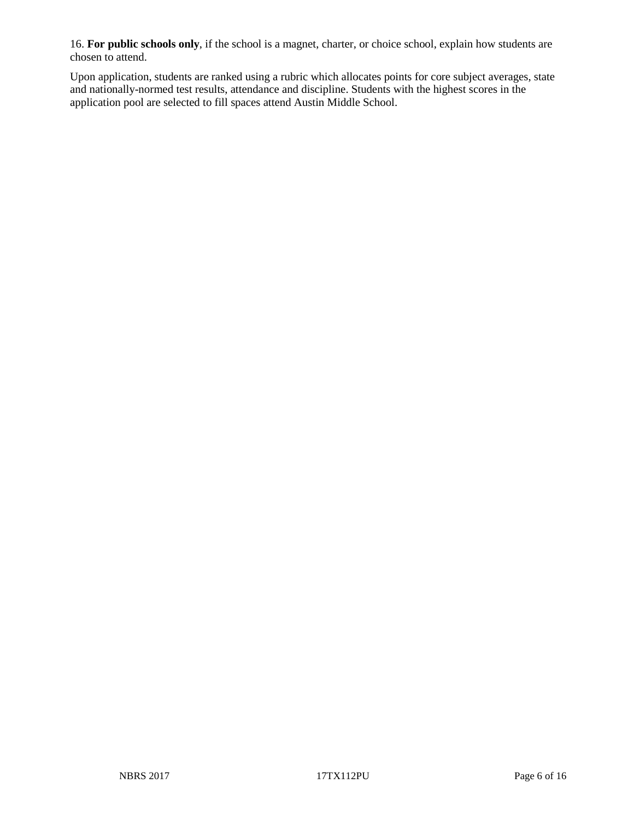16. **For public schools only**, if the school is a magnet, charter, or choice school, explain how students are chosen to attend.

Upon application, students are ranked using a rubric which allocates points for core subject averages, state and nationally-normed test results, attendance and discipline. Students with the highest scores in the application pool are selected to fill spaces attend Austin Middle School.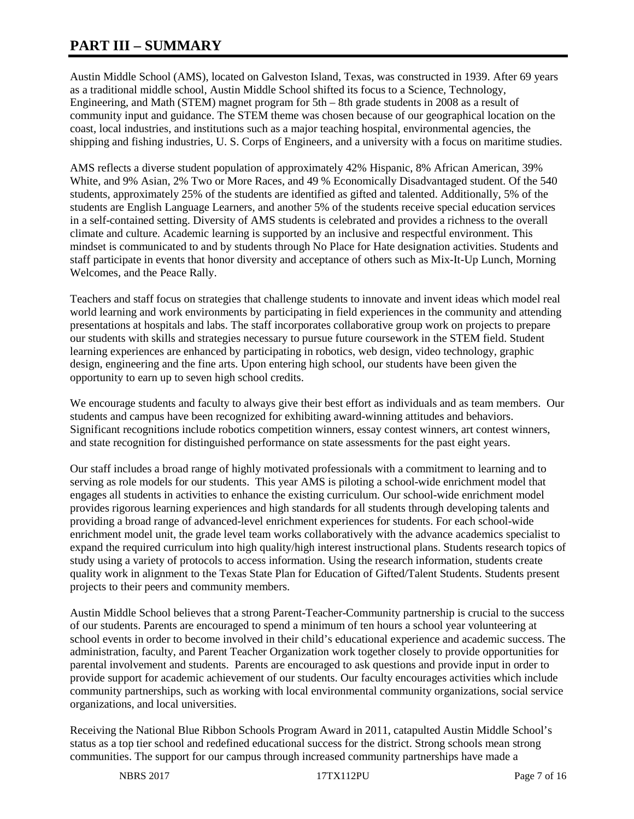# **PART III – SUMMARY**

Austin Middle School (AMS), located on Galveston Island, Texas, was constructed in 1939. After 69 years as a traditional middle school, Austin Middle School shifted its focus to a Science, Technology, Engineering, and Math (STEM) magnet program for 5th – 8th grade students in 2008 as a result of community input and guidance. The STEM theme was chosen because of our geographical location on the coast, local industries, and institutions such as a major teaching hospital, environmental agencies, the shipping and fishing industries, U. S. Corps of Engineers, and a university with a focus on maritime studies.

AMS reflects a diverse student population of approximately 42% Hispanic, 8% African American, 39% White, and 9% Asian, 2% Two or More Races, and 49 % Economically Disadvantaged student. Of the 540 students, approximately 25% of the students are identified as gifted and talented. Additionally, 5% of the students are English Language Learners, and another 5% of the students receive special education services in a self-contained setting. Diversity of AMS students is celebrated and provides a richness to the overall climate and culture. Academic learning is supported by an inclusive and respectful environment. This mindset is communicated to and by students through No Place for Hate designation activities. Students and staff participate in events that honor diversity and acceptance of others such as Mix-It-Up Lunch, Morning Welcomes, and the Peace Rally.

Teachers and staff focus on strategies that challenge students to innovate and invent ideas which model real world learning and work environments by participating in field experiences in the community and attending presentations at hospitals and labs. The staff incorporates collaborative group work on projects to prepare our students with skills and strategies necessary to pursue future coursework in the STEM field. Student learning experiences are enhanced by participating in robotics, web design, video technology, graphic design, engineering and the fine arts. Upon entering high school, our students have been given the opportunity to earn up to seven high school credits.

We encourage students and faculty to always give their best effort as individuals and as team members. Our students and campus have been recognized for exhibiting award-winning attitudes and behaviors. Significant recognitions include robotics competition winners, essay contest winners, art contest winners, and state recognition for distinguished performance on state assessments for the past eight years.

Our staff includes a broad range of highly motivated professionals with a commitment to learning and to serving as role models for our students. This year AMS is piloting a school-wide enrichment model that engages all students in activities to enhance the existing curriculum. Our school-wide enrichment model provides rigorous learning experiences and high standards for all students through developing talents and providing a broad range of advanced-level enrichment experiences for students. For each school-wide enrichment model unit, the grade level team works collaboratively with the advance academics specialist to expand the required curriculum into high quality/high interest instructional plans. Students research topics of study using a variety of protocols to access information. Using the research information, students create quality work in alignment to the Texas State Plan for Education of Gifted/Talent Students. Students present projects to their peers and community members.

Austin Middle School believes that a strong Parent-Teacher-Community partnership is crucial to the success of our students. Parents are encouraged to spend a minimum of ten hours a school year volunteering at school events in order to become involved in their child's educational experience and academic success. The administration, faculty, and Parent Teacher Organization work together closely to provide opportunities for parental involvement and students. Parents are encouraged to ask questions and provide input in order to provide support for academic achievement of our students. Our faculty encourages activities which include community partnerships, such as working with local environmental community organizations, social service organizations, and local universities.

Receiving the National Blue Ribbon Schools Program Award in 2011, catapulted Austin Middle School's status as a top tier school and redefined educational success for the district. Strong schools mean strong communities. The support for our campus through increased community partnerships have made a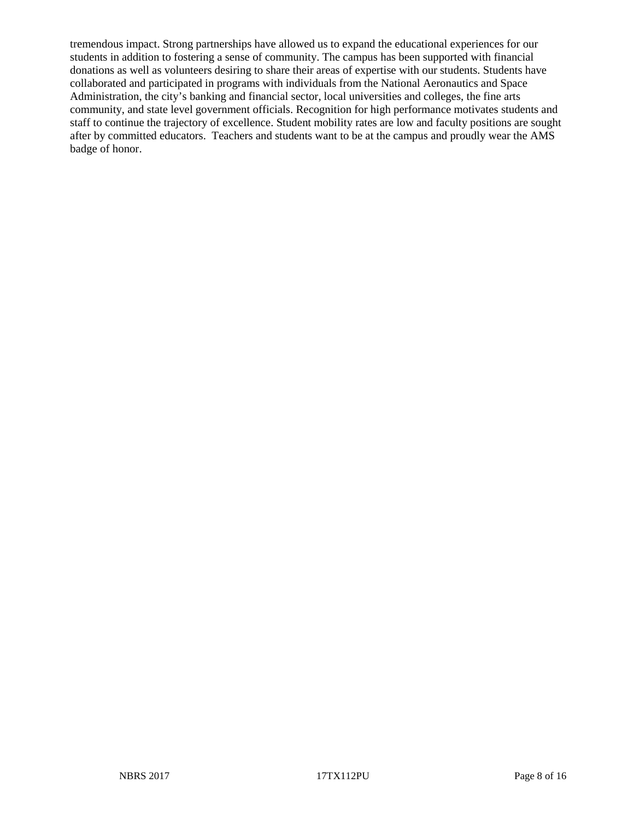tremendous impact. Strong partnerships have allowed us to expand the educational experiences for our students in addition to fostering a sense of community. The campus has been supported with financial donations as well as volunteers desiring to share their areas of expertise with our students. Students have collaborated and participated in programs with individuals from the National Aeronautics and Space Administration, the city's banking and financial sector, local universities and colleges, the fine arts community, and state level government officials. Recognition for high performance motivates students and staff to continue the trajectory of excellence. Student mobility rates are low and faculty positions are sought after by committed educators. Teachers and students want to be at the campus and proudly wear the AMS badge of honor.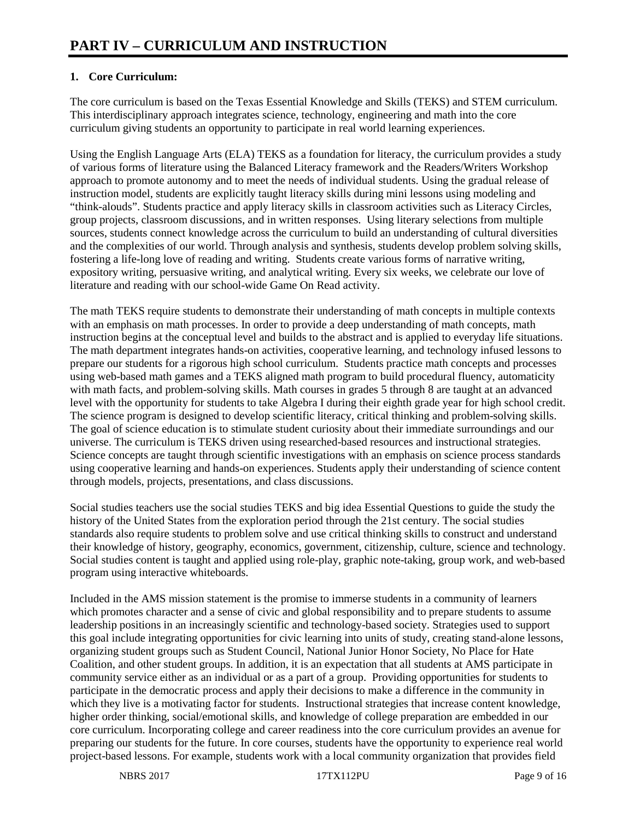# **1. Core Curriculum:**

The core curriculum is based on the Texas Essential Knowledge and Skills (TEKS) and STEM curriculum. This interdisciplinary approach integrates science, technology, engineering and math into the core curriculum giving students an opportunity to participate in real world learning experiences.

Using the English Language Arts (ELA) TEKS as a foundation for literacy, the curriculum provides a study of various forms of literature using the Balanced Literacy framework and the Readers/Writers Workshop approach to promote autonomy and to meet the needs of individual students. Using the gradual release of instruction model, students are explicitly taught literacy skills during mini lessons using modeling and "think-alouds". Students practice and apply literacy skills in classroom activities such as Literacy Circles, group projects, classroom discussions, and in written responses. Using literary selections from multiple sources, students connect knowledge across the curriculum to build an understanding of cultural diversities and the complexities of our world. Through analysis and synthesis, students develop problem solving skills, fostering a life-long love of reading and writing. Students create various forms of narrative writing, expository writing, persuasive writing, and analytical writing. Every six weeks, we celebrate our love of literature and reading with our school-wide Game On Read activity.

The math TEKS require students to demonstrate their understanding of math concepts in multiple contexts with an emphasis on math processes. In order to provide a deep understanding of math concepts, math instruction begins at the conceptual level and builds to the abstract and is applied to everyday life situations. The math department integrates hands-on activities, cooperative learning, and technology infused lessons to prepare our students for a rigorous high school curriculum. Students practice math concepts and processes using web-based math games and a TEKS aligned math program to build procedural fluency, automaticity with math facts, and problem-solving skills. Math courses in grades 5 through 8 are taught at an advanced level with the opportunity for students to take Algebra I during their eighth grade year for high school credit. The science program is designed to develop scientific literacy, critical thinking and problem-solving skills. The goal of science education is to stimulate student curiosity about their immediate surroundings and our universe. The curriculum is TEKS driven using researched-based resources and instructional strategies. Science concepts are taught through scientific investigations with an emphasis on science process standards using cooperative learning and hands-on experiences. Students apply their understanding of science content through models, projects, presentations, and class discussions.

Social studies teachers use the social studies TEKS and big idea Essential Questions to guide the study the history of the United States from the exploration period through the 21st century. The social studies standards also require students to problem solve and use critical thinking skills to construct and understand their knowledge of history, geography, economics, government, citizenship, culture, science and technology. Social studies content is taught and applied using role-play, graphic note-taking, group work, and web-based program using interactive whiteboards.

Included in the AMS mission statement is the promise to immerse students in a community of learners which promotes character and a sense of civic and global responsibility and to prepare students to assume leadership positions in an increasingly scientific and technology-based society. Strategies used to support this goal include integrating opportunities for civic learning into units of study, creating stand-alone lessons, organizing student groups such as Student Council, National Junior Honor Society, No Place for Hate Coalition, and other student groups. In addition, it is an expectation that all students at AMS participate in community service either as an individual or as a part of a group. Providing opportunities for students to participate in the democratic process and apply their decisions to make a difference in the community in which they live is a motivating factor for students. Instructional strategies that increase content knowledge, higher order thinking, social/emotional skills, and knowledge of college preparation are embedded in our core curriculum. Incorporating college and career readiness into the core curriculum provides an avenue for preparing our students for the future. In core courses, students have the opportunity to experience real world project-based lessons. For example, students work with a local community organization that provides field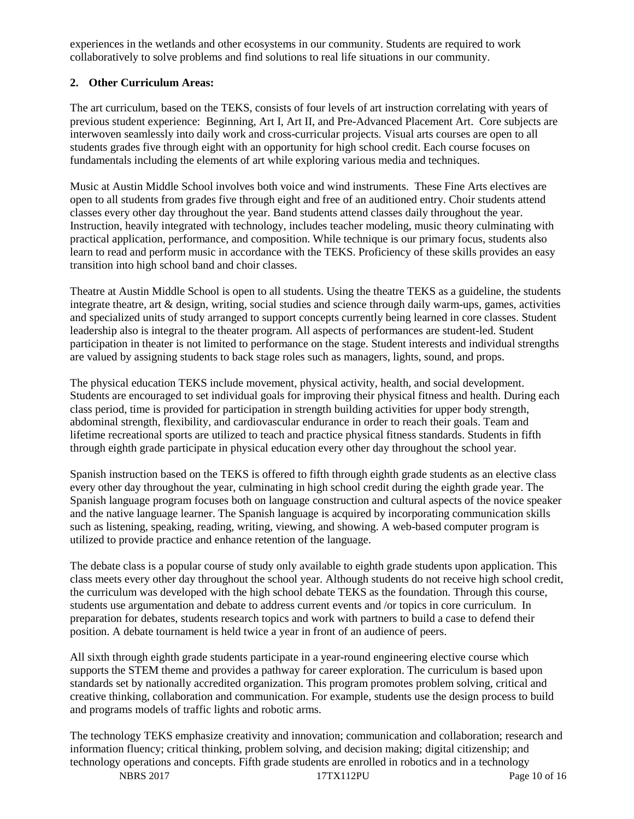experiences in the wetlands and other ecosystems in our community. Students are required to work collaboratively to solve problems and find solutions to real life situations in our community.

## **2. Other Curriculum Areas:**

The art curriculum, based on the TEKS, consists of four levels of art instruction correlating with years of previous student experience: Beginning, Art I, Art II, and Pre-Advanced Placement Art. Core subjects are interwoven seamlessly into daily work and cross-curricular projects. Visual arts courses are open to all students grades five through eight with an opportunity for high school credit. Each course focuses on fundamentals including the elements of art while exploring various media and techniques.

Music at Austin Middle School involves both voice and wind instruments. These Fine Arts electives are open to all students from grades five through eight and free of an auditioned entry. Choir students attend classes every other day throughout the year. Band students attend classes daily throughout the year. Instruction, heavily integrated with technology, includes teacher modeling, music theory culminating with practical application, performance, and composition. While technique is our primary focus, students also learn to read and perform music in accordance with the TEKS. Proficiency of these skills provides an easy transition into high school band and choir classes.

Theatre at Austin Middle School is open to all students. Using the theatre TEKS as a guideline, the students integrate theatre, art & design, writing, social studies and science through daily warm-ups, games, activities and specialized units of study arranged to support concepts currently being learned in core classes. Student leadership also is integral to the theater program. All aspects of performances are student-led. Student participation in theater is not limited to performance on the stage. Student interests and individual strengths are valued by assigning students to back stage roles such as managers, lights, sound, and props.

The physical education TEKS include movement, physical activity, health, and social development. Students are encouraged to set individual goals for improving their physical fitness and health. During each class period, time is provided for participation in strength building activities for upper body strength, abdominal strength, flexibility, and cardiovascular endurance in order to reach their goals. Team and lifetime recreational sports are utilized to teach and practice physical fitness standards. Students in fifth through eighth grade participate in physical education every other day throughout the school year.

Spanish instruction based on the TEKS is offered to fifth through eighth grade students as an elective class every other day throughout the year, culminating in high school credit during the eighth grade year. The Spanish language program focuses both on language construction and cultural aspects of the novice speaker and the native language learner. The Spanish language is acquired by incorporating communication skills such as listening, speaking, reading, writing, viewing, and showing. A web-based computer program is utilized to provide practice and enhance retention of the language.

The debate class is a popular course of study only available to eighth grade students upon application. This class meets every other day throughout the school year. Although students do not receive high school credit, the curriculum was developed with the high school debate TEKS as the foundation. Through this course, students use argumentation and debate to address current events and /or topics in core curriculum. In preparation for debates, students research topics and work with partners to build a case to defend their position. A debate tournament is held twice a year in front of an audience of peers.

All sixth through eighth grade students participate in a year-round engineering elective course which supports the STEM theme and provides a pathway for career exploration. The curriculum is based upon standards set by nationally accredited organization. This program promotes problem solving, critical and creative thinking, collaboration and communication. For example, students use the design process to build and programs models of traffic lights and robotic arms.

The technology TEKS emphasize creativity and innovation; communication and collaboration; research and information fluency; critical thinking, problem solving, and decision making; digital citizenship; and technology operations and concepts. Fifth grade students are enrolled in robotics and in a technology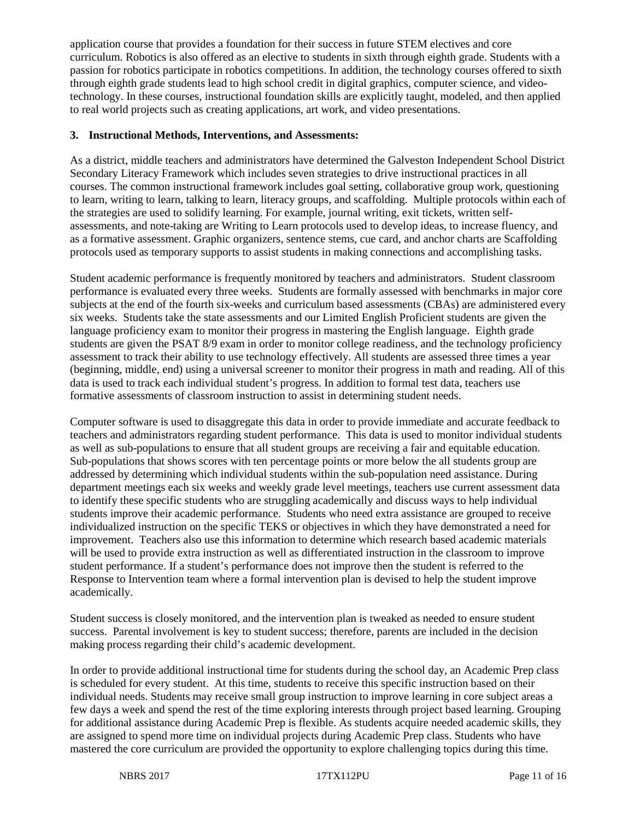application course that provides a foundation for their success in future STEM electives and core curriculum. Robotics is also offered as an elective to students in sixth through eighth grade. Students with a passion for robotics participate in robotics competitions. In addition, the technology courses offered to sixth through eighth grade students lead to high school credit in digital graphics, computer science, and videotechnology. In these courses, instructional foundation skills are explicitly taught, modeled, and then applied to real world projects such as creating applications, art work, and video presentations.

#### **3. Instructional Methods, Interventions, and Assessments:**

As a district, middle teachers and administrators have determined the Galveston Independent School District Secondary Literacy Framework which includes seven strategies to drive instructional practices in all courses. The common instructional framework includes goal setting, collaborative group work, questioning to learn, writing to learn, talking to learn, literacy groups, and scaffolding. Multiple protocols within each of the strategies are used to solidify learning. For example, journal writing, exit tickets, written selfassessments, and note-taking are Writing to Learn protocols used to develop ideas, to increase fluency, and as a formative assessment. Graphic organizers, sentence stems, cue card, and anchor charts are Scaffolding protocols used as temporary supports to assist students in making connections and accomplishing tasks.

Student academic performance is frequently monitored by teachers and administrators. Student classroom performance is evaluated every three weeks. Students are formally assessed with benchmarks in major core subjects at the end of the fourth six-weeks and curriculum based assessments (CBAs) are administered every six weeks. Students take the state assessments and our Limited English Proficient students are given the language proficiency exam to monitor their progress in mastering the English language. Eighth grade students are given the PSAT 8/9 exam in order to monitor college readiness, and the technology proficiency assessment to track their ability to use technology effectively. All students are assessed three times a year (beginning, middle, end) using a universal screener to monitor their progress in math and reading. All of this data is used to track each individual student's progress. In addition to formal test data, teachers use formative assessments of classroom instruction to assist in determining student needs.

Computer software is used to disaggregate this data in order to provide immediate and accurate feedback to teachers and administrators regarding student performance. This data is used to monitor individual students as well as sub-populations to ensure that all student groups are receiving a fair and equitable education. Sub-populations that shows scores with ten percentage points or more below the all students group are addressed by determining which individual students within the sub-population need assistance. During department meetings each six weeks and weekly grade level meetings, teachers use current assessment data to identify these specific students who are struggling academically and discuss ways to help individual students improve their academic performance. Students who need extra assistance are grouped to receive individualized instruction on the specific TEKS or objectives in which they have demonstrated a need for improvement. Teachers also use this information to determine which research based academic materials will be used to provide extra instruction as well as differentiated instruction in the classroom to improve student performance. If a student's performance does not improve then the student is referred to the Response to Intervention team where a formal intervention plan is devised to help the student improve academically.

Student success is closely monitored, and the intervention plan is tweaked as needed to ensure student success. Parental involvement is key to student success; therefore, parents are included in the decision making process regarding their child's academic development.

In order to provide additional instructional time for students during the school day, an Academic Prep class is scheduled for every student. At this time, students to receive this specific instruction based on their individual needs. Students may receive small group instruction to improve learning in core subject areas a few days a week and spend the rest of the time exploring interests through project based learning. Grouping for additional assistance during Academic Prep is flexible. As students acquire needed academic skills, they are assigned to spend more time on individual projects during Academic Prep class. Students who have mastered the core curriculum are provided the opportunity to explore challenging topics during this time.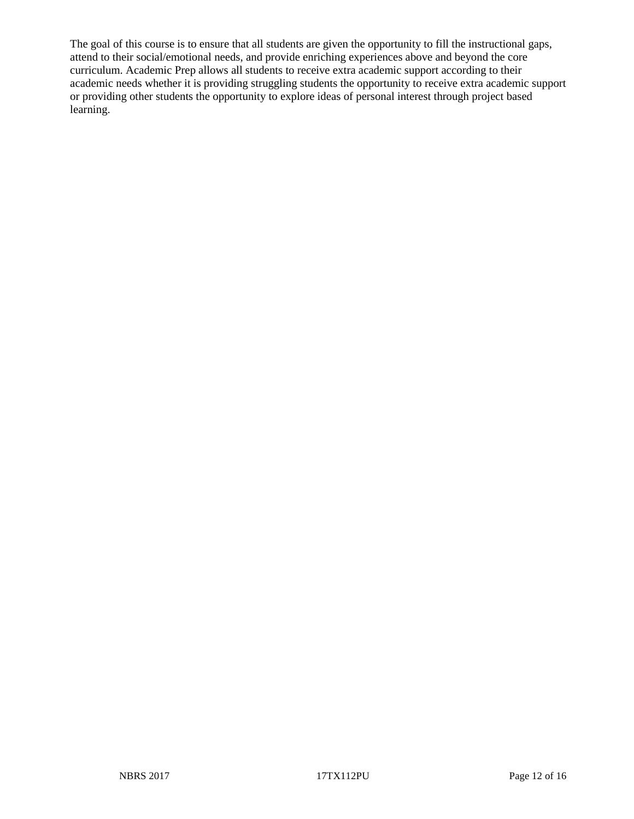The goal of this course is to ensure that all students are given the opportunity to fill the instructional gaps, attend to their social/emotional needs, and provide enriching experiences above and beyond the core curriculum. Academic Prep allows all students to receive extra academic support according to their academic needs whether it is providing struggling students the opportunity to receive extra academic support or providing other students the opportunity to explore ideas of personal interest through project based learning.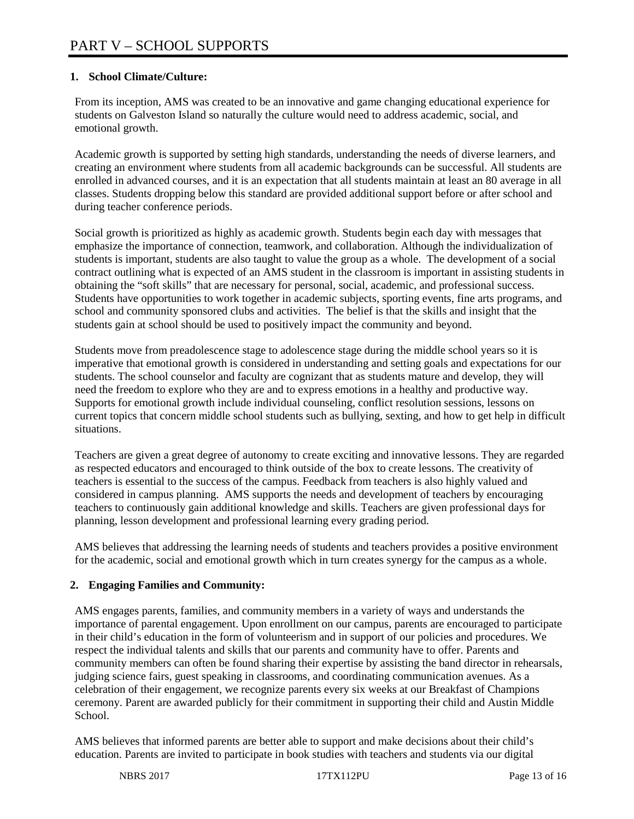## **1. School Climate/Culture:**

From its inception, AMS was created to be an innovative and game changing educational experience for students on Galveston Island so naturally the culture would need to address academic, social, and emotional growth.

Academic growth is supported by setting high standards, understanding the needs of diverse learners, and creating an environment where students from all academic backgrounds can be successful. All students are enrolled in advanced courses, and it is an expectation that all students maintain at least an 80 average in all classes. Students dropping below this standard are provided additional support before or after school and during teacher conference periods.

Social growth is prioritized as highly as academic growth. Students begin each day with messages that emphasize the importance of connection, teamwork, and collaboration. Although the individualization of students is important, students are also taught to value the group as a whole. The development of a social contract outlining what is expected of an AMS student in the classroom is important in assisting students in obtaining the "soft skills" that are necessary for personal, social, academic, and professional success. Students have opportunities to work together in academic subjects, sporting events, fine arts programs, and school and community sponsored clubs and activities. The belief is that the skills and insight that the students gain at school should be used to positively impact the community and beyond.

Students move from preadolescence stage to adolescence stage during the middle school years so it is imperative that emotional growth is considered in understanding and setting goals and expectations for our students. The school counselor and faculty are cognizant that as students mature and develop, they will need the freedom to explore who they are and to express emotions in a healthy and productive way. Supports for emotional growth include individual counseling, conflict resolution sessions, lessons on current topics that concern middle school students such as bullying, sexting, and how to get help in difficult situations.

Teachers are given a great degree of autonomy to create exciting and innovative lessons. They are regarded as respected educators and encouraged to think outside of the box to create lessons. The creativity of teachers is essential to the success of the campus. Feedback from teachers is also highly valued and considered in campus planning. AMS supports the needs and development of teachers by encouraging teachers to continuously gain additional knowledge and skills. Teachers are given professional days for planning, lesson development and professional learning every grading period.

AMS believes that addressing the learning needs of students and teachers provides a positive environment for the academic, social and emotional growth which in turn creates synergy for the campus as a whole.

## **2. Engaging Families and Community:**

AMS engages parents, families, and community members in a variety of ways and understands the importance of parental engagement. Upon enrollment on our campus, parents are encouraged to participate in their child's education in the form of volunteerism and in support of our policies and procedures. We respect the individual talents and skills that our parents and community have to offer. Parents and community members can often be found sharing their expertise by assisting the band director in rehearsals, judging science fairs, guest speaking in classrooms, and coordinating communication avenues. As a celebration of their engagement, we recognize parents every six weeks at our Breakfast of Champions ceremony. Parent are awarded publicly for their commitment in supporting their child and Austin Middle School.

AMS believes that informed parents are better able to support and make decisions about their child's education. Parents are invited to participate in book studies with teachers and students via our digital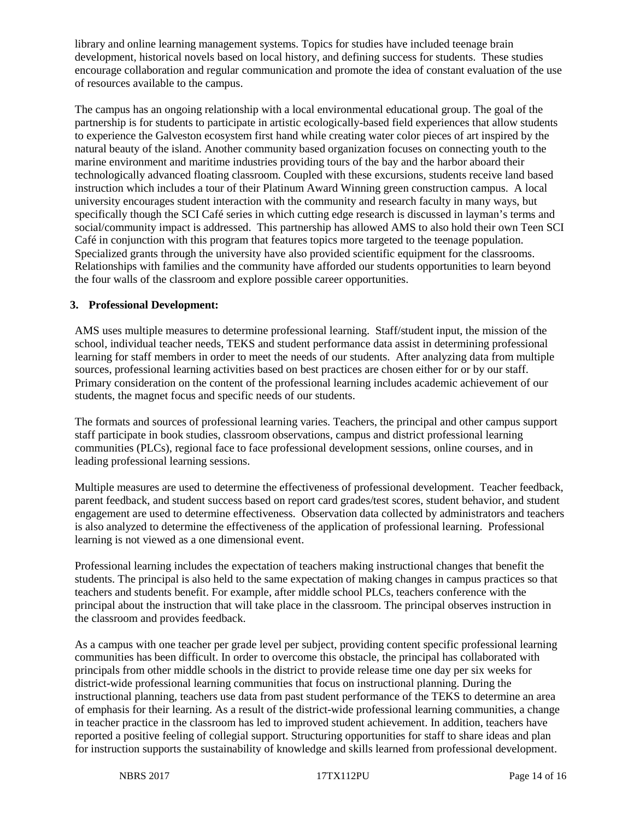library and online learning management systems. Topics for studies have included teenage brain development, historical novels based on local history, and defining success for students. These studies encourage collaboration and regular communication and promote the idea of constant evaluation of the use of resources available to the campus.

The campus has an ongoing relationship with a local environmental educational group. The goal of the partnership is for students to participate in artistic ecologically-based field experiences that allow students to experience the Galveston ecosystem first hand while creating water color pieces of art inspired by the natural beauty of the island. Another community based organization focuses on connecting youth to the marine environment and maritime industries providing tours of the bay and the harbor aboard their technologically advanced floating classroom. Coupled with these excursions, students receive land based instruction which includes a tour of their Platinum Award Winning green construction campus. A local university encourages student interaction with the community and research faculty in many ways, but specifically though the SCI Café series in which cutting edge research is discussed in layman's terms and social/community impact is addressed. This partnership has allowed AMS to also hold their own Teen SCI Café in conjunction with this program that features topics more targeted to the teenage population. Specialized grants through the university have also provided scientific equipment for the classrooms. Relationships with families and the community have afforded our students opportunities to learn beyond the four walls of the classroom and explore possible career opportunities.

#### **3. Professional Development:**

AMS uses multiple measures to determine professional learning. Staff/student input, the mission of the school, individual teacher needs, TEKS and student performance data assist in determining professional learning for staff members in order to meet the needs of our students. After analyzing data from multiple sources, professional learning activities based on best practices are chosen either for or by our staff. Primary consideration on the content of the professional learning includes academic achievement of our students, the magnet focus and specific needs of our students.

The formats and sources of professional learning varies. Teachers, the principal and other campus support staff participate in book studies, classroom observations, campus and district professional learning communities (PLCs), regional face to face professional development sessions, online courses, and in leading professional learning sessions.

Multiple measures are used to determine the effectiveness of professional development. Teacher feedback, parent feedback, and student success based on report card grades/test scores, student behavior, and student engagement are used to determine effectiveness. Observation data collected by administrators and teachers is also analyzed to determine the effectiveness of the application of professional learning. Professional learning is not viewed as a one dimensional event.

Professional learning includes the expectation of teachers making instructional changes that benefit the students. The principal is also held to the same expectation of making changes in campus practices so that teachers and students benefit. For example, after middle school PLCs, teachers conference with the principal about the instruction that will take place in the classroom. The principal observes instruction in the classroom and provides feedback.

As a campus with one teacher per grade level per subject, providing content specific professional learning communities has been difficult. In order to overcome this obstacle, the principal has collaborated with principals from other middle schools in the district to provide release time one day per six weeks for district-wide professional learning communities that focus on instructional planning. During the instructional planning, teachers use data from past student performance of the TEKS to determine an area of emphasis for their learning. As a result of the district-wide professional learning communities, a change in teacher practice in the classroom has led to improved student achievement. In addition, teachers have reported a positive feeling of collegial support. Structuring opportunities for staff to share ideas and plan for instruction supports the sustainability of knowledge and skills learned from professional development.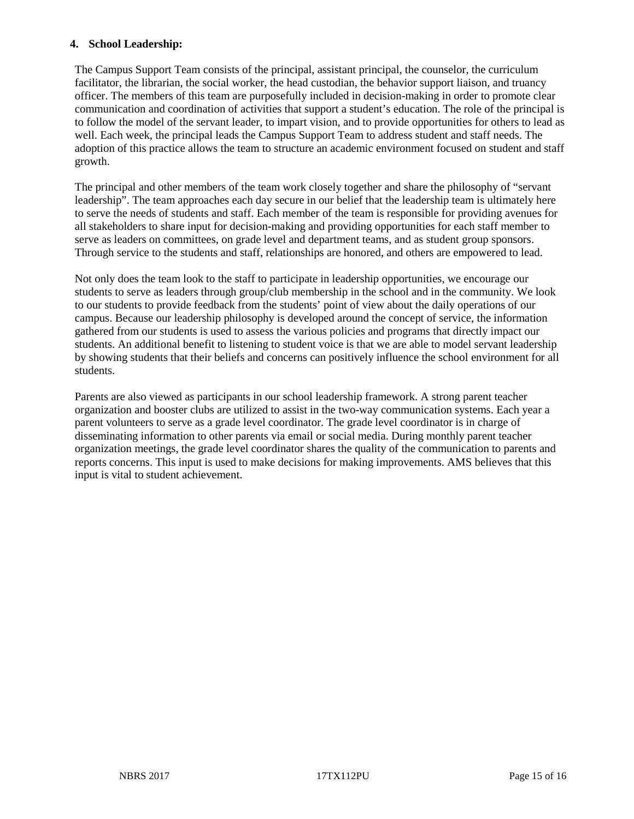#### **4. School Leadership:**

The Campus Support Team consists of the principal, assistant principal, the counselor, the curriculum facilitator, the librarian, the social worker, the head custodian, the behavior support liaison, and truancy officer. The members of this team are purposefully included in decision-making in order to promote clear communication and coordination of activities that support a student's education. The role of the principal is to follow the model of the servant leader, to impart vision, and to provide opportunities for others to lead as well. Each week, the principal leads the Campus Support Team to address student and staff needs. The adoption of this practice allows the team to structure an academic environment focused on student and staff growth.

The principal and other members of the team work closely together and share the philosophy of "servant leadership". The team approaches each day secure in our belief that the leadership team is ultimately here to serve the needs of students and staff. Each member of the team is responsible for providing avenues for all stakeholders to share input for decision-making and providing opportunities for each staff member to serve as leaders on committees, on grade level and department teams, and as student group sponsors. Through service to the students and staff, relationships are honored, and others are empowered to lead.

Not only does the team look to the staff to participate in leadership opportunities, we encourage our students to serve as leaders through group/club membership in the school and in the community. We look to our students to provide feedback from the students' point of view about the daily operations of our campus. Because our leadership philosophy is developed around the concept of service, the information gathered from our students is used to assess the various policies and programs that directly impact our students. An additional benefit to listening to student voice is that we are able to model servant leadership by showing students that their beliefs and concerns can positively influence the school environment for all students.

Parents are also viewed as participants in our school leadership framework. A strong parent teacher organization and booster clubs are utilized to assist in the two-way communication systems. Each year a parent volunteers to serve as a grade level coordinator. The grade level coordinator is in charge of disseminating information to other parents via email or social media. During monthly parent teacher organization meetings, the grade level coordinator shares the quality of the communication to parents and reports concerns. This input is used to make decisions for making improvements. AMS believes that this input is vital to student achievement.